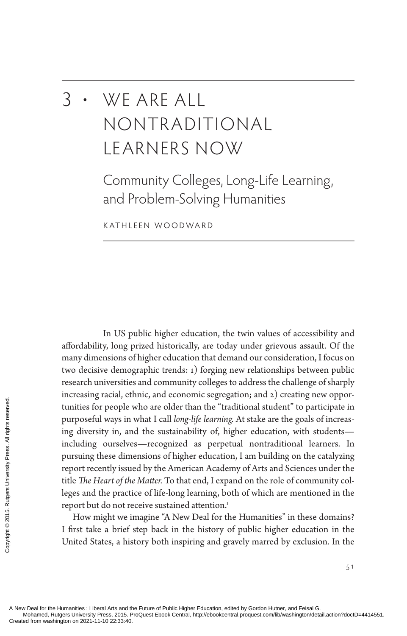# 3 • We Are All Nontraditional Learners Now

Community Colleges, Long-Life Learning, and Problem-Solving Humanities

Kathleen Woodward

In US public higher education, the twin values of accessibility and affordability, long prized historically, are today under grievous assault. Of the many dimensions of higher education that demand our consideration, I focus on two decisive demographic trends: 1) forging new relationships between public research universities and community colleges to address the challenge of sharply increasing racial, ethnic, and economic segregation; and 2) creating new opportunities for people who are older than the "traditional student" to participate in purposeful ways in what I call *long-life learning.* At stake are the goals of increasing diversity in, and the sustainability of, higher education, with students including ourselves—recognized as perpetual nontraditional learners. In pursuing these dimensions of higher education, I am building on the catalyzing report recently issued by the American Academy of Arts and Sciences under the title *The Heart of the Matter.* To that end, I expand on the role of community colleges and the practice of life-long learning, both of which are mentioned in the report but do not receive sustained attention.<sup>1</sup> Exerces tunities for people vertical ways in<br>ting diversity in, an<br>including ourselve<br>pursuing these dim<br>report recently issue<br>title *The Heart of the*<br>leges and the practi<br>report but do not re<br>How might we interest<br>is a b

How might we imagine "A New Deal for the Humanities" in these domains? I first take a brief step back in the history of public higher education in the United States, a history both inspiring and gravely marred by exclusion. In the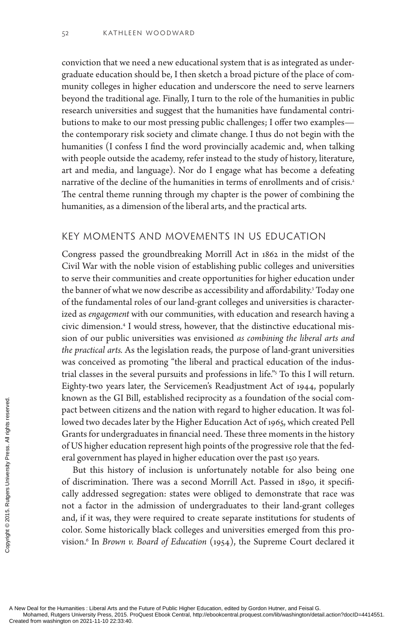conviction that we need a new educational system that is as integrated as undergraduate education should be, I then sketch a broad picture of the place of community colleges in higher education and underscore the need to serve learners beyond the traditional age. Finally, I turn to the role of the humanities in public research universities and suggest that the humanities have fundamental contributions to make to our most pressing public challenges; I offer two examples the contemporary risk society and climate change. I thus do not begin with the humanities (I confess I find the word provincially academic and, when talking with people outside the academy, refer instead to the study of history, literature, art and media, and language). Nor do I engage what has become a defeating narrative of the decline of the humanities in terms of enrollments and of crisis.<sup>2</sup> The central theme running through my chapter is the power of combining the humanities, as a dimension of the liberal arts, and the practical arts.

#### Key Moments and Movements in US Education

Congress passed the groundbreaking Morrill Act in 1862 in the midst of the Civil War with the noble vision of establishing public colleges and universities to serve their communities and create opportunities for higher education under the banner of what we now describe as accessibility and affordability.3 Today one of the fundamental roles of our land-grant colleges and universities is characterized as *engagement* with our communities, with education and research having a civic dimension.4 I would stress, however, that the distinctive educational mission of our public universities was envisioned *as combining the liberal arts and the practical arts.* As the legislation reads, the purpose of land-grant universities was conceived as promoting "the liberal and practical education of the industrial classes in the several pursuits and professions in life."5 To this I will return. Eighty-two years later, the Servicemen's Readjustment Act of 1944, popularly known as the GI Bill, established reciprocity as a foundation of the social compact between citizens and the nation with regard to higher education. It was followed two decades later by the Higher Education Act of 1965, which created Pell Grants for undergraduates in financial need. These three moments in the history of US higher education represent high points of the progressive role that the federal government has played in higher education over the past 150 years.

But this history of inclusion is unfortunately notable for also being one of discrimination. There was a second Morrill Act. Passed in 1890, it specifically addressed segregation: states were obliged to demonstrate that race was not a factor in the admission of undergraduates to their land-grant colleges and, if it was, they were required to create separate institutions for students of color. Some historically black colleges and universities emerged from this provision.6 In *Brown v. Board of Education* (1954), the Supreme Court declared it Exerces the GI Diversity of discrimination.<br>
See and government has been citize for undergrand of US higher educated and government has but this history of discrimination.<br>
See and government in But this history of discrim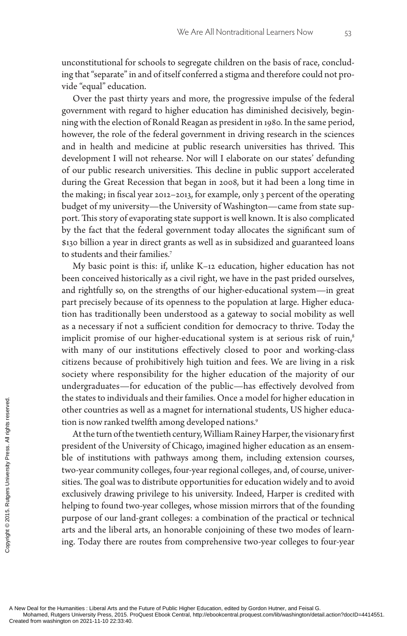unconstitutional for schools to segregate children on the basis of race, concluding that "separate" in and of itself conferred a stigma and therefore could not provide "equal" education.

Over the past thirty years and more, the progressive impulse of the federal government with regard to higher education has diminished decisively, beginning with the election of Ronald Reagan as president in 1980. In the same period, however, the role of the federal government in driving research in the sciences and in health and medicine at public research universities has thrived. This development I will not rehearse. Nor will I elaborate on our states' defunding of our public research universities. This decline in public support accelerated during the Great Recession that began in 2008, but it had been a long time in the making; in fiscal year 2012–2013, for example, only 3 percent of the operating budget of my university—the University of Washington—came from state support. This story of evaporating state support is well known. It is also complicated by the fact that the federal government today allocates the significant sum of \$130 billion a year in direct grants as well as in subsidized and guaranteed loans to students and their families.7

My basic point is this: if, unlike K–12 education, higher education has not been conceived historically as a civil right, we have in the past prided ourselves, and rightfully so, on the strengths of our higher-educational system—in great part precisely because of its openness to the population at large. Higher education has traditionally been understood as a gateway to social mobility as well as a necessary if not a sufficient condition for democracy to thrive. Today the implicit promise of our higher-educational system is at serious risk of ruin,<sup>8</sup> with many of our institutions effectively closed to poor and working-class citizens because of prohibitively high tuition and fees. We are living in a risk society where responsibility for the higher education of the majority of our undergraduates—for education of the public—has effectively devolved from the states to individuals and their families. Once a model for higher education in other countries as well as a magnet for international students, US higher education is now ranked twelfth among developed nations.<sup>9</sup>

At the turn of the twentieth century, William Rainey Harper, the visionary first president of the University of Chicago, imagined higher education as an ensemble of institutions with pathways among them, including extension courses, two-year community colleges, four-year regional colleges, and, of course, universities. The goal was to distribute opportunities for education widely and to avoid exclusively drawing privilege to his university. Indeed, Harper is credited with helping to found two-year colleges, whose mission mirrors that of the founding purpose of our land-grant colleges: a combination of the practical or technical arts and the liberal arts, an honorable conjoining of these two modes of learning. Today there are routes from comprehensive two-year colleges to four-year The states to mulvid<br>
other countries as v<br>
tion is now ranked t<br>
At the turn of the<br>
president of the Un<br>
ble of institutions<br>
two-year communit<br>
sities. The goal was<br>
exclusively drawing<br>
helping to found tw<br>
purpose of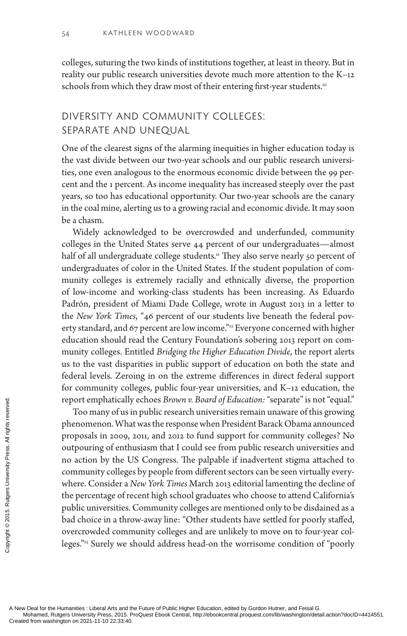colleges, suturing the two kinds of institutions together, at least in theory. But in reality our public research universities devote much more attention to the K–12 schools from which they draw most of their entering first-year students.<sup>10</sup>

### Diversity and Community Colleges: SEPARATE AND UNEQUAL

One of the clearest signs of the alarming inequities in higher education today is the vast divide between our two-year schools and our public research universities, one even analogous to the enormous economic divide between the 99 percent and the 1 percent. As income inequality has increased steeply over the past years, so too has educational opportunity. Our two-year schools are the canary in the coal mine, alerting us to a growing racial and economic divide. It may soon be a chasm.

Widely acknowledged to be overcrowded and underfunded, community colleges in the United States serve 44 percent of our undergraduates—almost half of all undergraduate college students.<sup>11</sup> They also serve nearly 50 percent of undergraduates of color in the United States. If the student population of community colleges is extremely racially and ethnically diverse, the proportion of low-income and working-class students has been increasing. As Eduardo Padrón, president of Miami Dade College, wrote in August 2013 in a letter to the *New York Times*, "46 percent of our students live beneath the federal poverty standard, and 67 percent are low income."<sup>12</sup> Everyone concerned with higher education should read the Century Foundation's sobering 2013 report on community colleges. Entitled *Bridging the Higher Education Divide*, the report alerts us to the vast disparities in public support of education on both the state and federal levels. Zeroing in on the extreme differences in direct federal support for community colleges, public four-year universities, and K–12 education, the report emphatically echoes *Brown v. Board of Education:* "separate" is not "equal."

Too many of us in public research universities remain unaware of this growing phenomenon. What was the response when President Barack Obama announced proposals in 2009, 2011, and 2012 to fund support for community colleges? No outpouring of enthusiasm that I could see from public research universities and no action by the US Congress. The palpable if inadvertent stigma attached to community colleges by people from different sectors can be seen virtually everywhere. Consider a *New York Times* March 2013 editorial lamenting the decline of the percentage of recent high school graduates who choose to attend California's public universities. Community colleges are mentioned only to be disdained as a bad choice in a throw-away line: "Other students have settled for poorly staffed, overcrowded community colleges and are unlikely to move on to four-year colleges."13 Surely we should address head-on the worrisome condition of "poorly Proport emphatically<br>
Too many of us i<br>
phenomenon. Wha<br>
proposals in 2009,<br>
outpouring of enth<br>
no action by the U<br>
community college<br>
where. Consider a *l*<br>
the percentage of re<br>
public universities.<br>
bad choice in a thr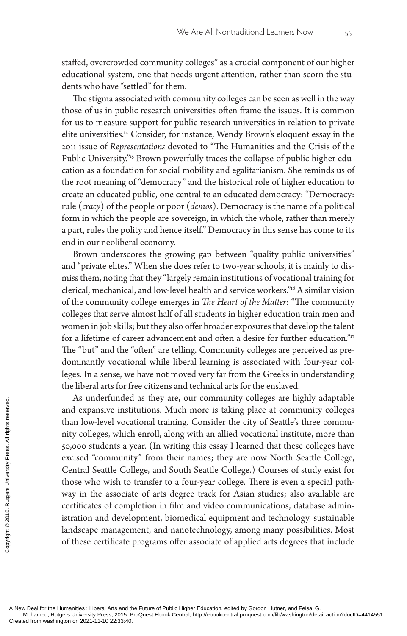staffed, overcrowded community colleges" as a crucial component of our higher educational system, one that needs urgent attention, rather than scorn the students who have "settled" for them.

The stigma associated with community colleges can be seen as well in the way those of us in public research universities often frame the issues. It is common for us to measure support for public research universities in relation to private elite universities.14 Consider, for instance, Wendy Brown's eloquent essay in the 2011 issue of *Representations* devoted to "The Humanities and the Crisis of the Public University."<sup>15</sup> Brown powerfully traces the collapse of public higher education as a foundation for social mobility and egalitarianism. She reminds us of the root meaning of "democracy" and the historical role of higher education to create an educated public, one central to an educated democracy: "Democracy: rule (*cracy*) of the people or poor (*demos*). Democracy is the name of a political form in which the people are sovereign, in which the whole, rather than merely a part, rules the polity and hence itself." Democracy in this sense has come to its end in our neoliberal economy.

Brown underscores the growing gap between "quality public universities" and "private elites." When she does refer to two-year schools, it is mainly to dismiss them, noting that they "largely remain institutions of vocational training for clerical, mechanical, and low-level health and service workers."16 A similar vision of the community college emerges in *The Heart of the Matter*: "The community colleges that serve almost half of all students in higher education train men and women in job skills; but they also offer broader exposures that develop the talent for a lifetime of career advancement and often a desire for further education."<sup>17</sup> The "but" and the "often" are telling. Community colleges are perceived as predominantly vocational while liberal learning is associated with four-year colleges. In a sense, we have not moved very far from the Greeks in understanding the liberal arts for free citizens and technical arts for the enslaved.

As underfunded as they are, our community colleges are highly adaptable and expansive institutions. Much more is taking place at community colleges than low-level vocational training. Consider the city of Seattle's three community colleges, which enroll, along with an allied vocational institute, more than 50,000 students a year. (In writing this essay I learned that these colleges have excised "community" from their names; they are now North Seattle College, Central Seattle College, and South Seattle College.) Courses of study exist for those who wish to transfer to a four-year college. There is even a special pathway in the associate of arts degree track for Asian studies; also available are certificates of completion in film and video communications, database administration and development, biomedical equipment and technology, sustainable landscape management, and nanotechnology, among many possibilities. Most of these certificate programs offer associate of applied arts degrees that include The monoton on 2021-11-10 22:33:40.<br>
Separation of the section of the section of the section of the section of the section of the section of the section of the section of the section of the section of the section of the se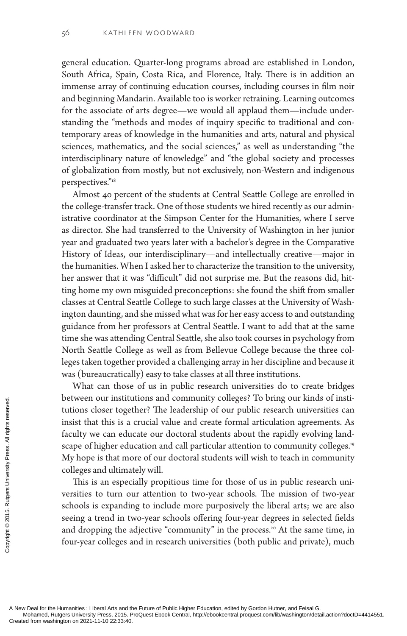general education. Quarter-long programs abroad are established in London, South Africa, Spain, Costa Rica, and Florence, Italy. There is in addition an immense array of continuing education courses, including courses in film noir and beginning Mandarin. Available too is worker retraining. Learning outcomes for the associate of arts degree—we would all applaud them—include understanding the "methods and modes of inquiry specific to traditional and contemporary areas of knowledge in the humanities and arts, natural and physical sciences, mathematics, and the social sciences," as well as understanding "the interdisciplinary nature of knowledge" and "the global society and processes of globalization from mostly, but not exclusively, non-Western and indigenous perspectives."18

Almost 40 percent of the students at Central Seattle College are enrolled in the college-transfer track. One of those students we hired recently as our administrative coordinator at the Simpson Center for the Humanities, where I serve as director. She had transferred to the University of Washington in her junior year and graduated two years later with a bachelor's degree in the Comparative History of Ideas, our interdisciplinary—and intellectually creative—major in the humanities. When I asked her to characterize the transition to the university, her answer that it was "difficult" did not surprise me. But the reasons did, hitting home my own misguided preconceptions: she found the shift from smaller classes at Central Seattle College to such large classes at the University of Washington daunting, and she missed what was for her easy access to and outstanding guidance from her professors at Central Seattle. I want to add that at the same time she was attending Central Seattle, she also took courses in psychology from North Seattle College as well as from Bellevue College because the three colleges taken together provided a challenging array in her discipline and because it was (bureaucratically) easy to take classes at all three institutions.

What can those of us in public research universities do to create bridges between our institutions and community colleges? To bring our kinds of institutions closer together? The leadership of our public research universities can insist that this is a crucial value and create formal articulation agreements. As faculty we can educate our doctoral students about the rapidly evolving landscape of higher education and call particular attention to community colleges.<sup>19</sup> My hope is that more of our doctoral students will wish to teach in community colleges and ultimately will. Exerces the state of the Humanities : Liberal Arts and the Mohamed, Rutgers University Press, 2015. P<br>Created from washington on 2021-11-10 22:33:40.<br>Created from washington on 2021-11-10 22:33:40.

This is an especially propitious time for those of us in public research universities to turn our attention to two-year schools. The mission of two-year schools is expanding to include more purposively the liberal arts; we are also seeing a trend in two-year schools offering four-year degrees in selected fields and dropping the adjective "community" in the process.<sup>20</sup> At the same time, in four-year colleges and in research universities (both public and private), much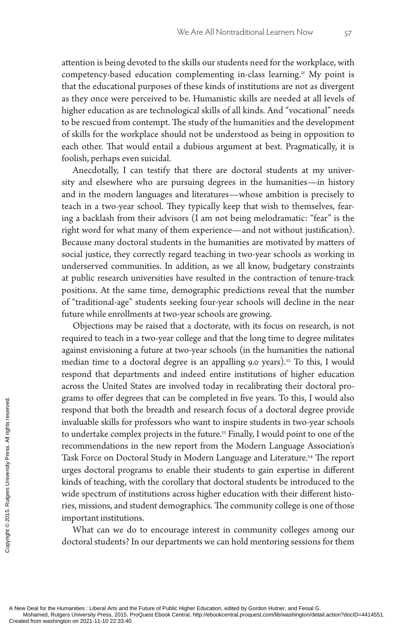attention is being devoted to the skills our students need for the workplace, with competency-based education complementing in-class learning.<sup>21</sup> My point is that the educational purposes of these kinds of institutions are not as divergent as they once were perceived to be. Humanistic skills are needed at all levels of higher education as are technological skills of all kinds. And "vocational" needs to be rescued from contempt. The study of the humanities and the development of skills for the workplace should not be understood as being in opposition to each other. That would entail a dubious argument at best. Pragmatically, it is foolish, perhaps even suicidal.

Anecdotally, I can testify that there are doctoral students at my university and elsewhere who are pursuing degrees in the humanities—in history and in the modern languages and literatures—whose ambition is precisely to teach in a two-year school. They typically keep that wish to themselves, fearing a backlash from their advisors (I am not being melodramatic: "fear" is the right word for what many of them experience—and not without justification). Because many doctoral students in the humanities are motivated by matters of social justice, they correctly regard teaching in two-year schools as working in underserved communities. In addition, as we all know, budgetary constraints at public research universities have resulted in the contraction of tenure-track positions. At the same time, demographic predictions reveal that the number of "traditional-age" students seeking four-year schools will decline in the near future while enrollments at two-year schools are growing.

Objections may be raised that a doctorate, with its focus on research, is not required to teach in a two-year college and that the long time to degree militates against envisioning a future at two-year schools (in the humanities the national median time to a doctoral degree is an appalling 9.0 years).<sup>22</sup> To this, I would respond that departments and indeed entire institutions of higher education across the United States are involved today in recalibrating their doctoral programs to offer degrees that can be completed in five years. To this, I would also respond that both the breadth and research focus of a doctoral degree provide invaluable skills for professors who want to inspire students in two-year schools to undertake complex projects in the future.<sup>23</sup> Finally, I would point to one of the recommendations in the new report from the Modern Language Association's Task Force on Doctoral Study in Modern Language and Literature.<sup>24</sup> The report urges doctoral programs to enable their students to gain expertise in different kinds of teaching, with the corollary that doctoral students be introduced to the wide spectrum of institutions across higher education with their different histories, missions, and student demographics. The community college is one of those important institutions. Experiment to other degrives<br>
From the invaluable skills for<br>
to undertake complementations is<br>
Task Force on Doct<br>
urges doctoral prog<br>
kinds of teaching, we<br>
wide spectrum of in<br>
ries, missions, and s<br>
important institut

What can we do to encourage interest in community colleges among our doctoral students? In our departments we can hold mentoring sessions for them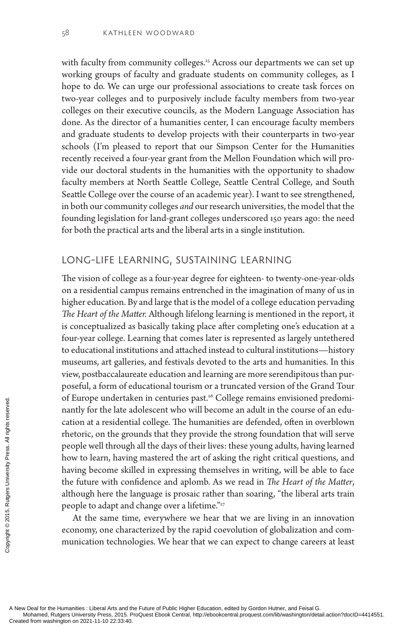with faculty from community colleges.<sup>25</sup> Across our departments we can set up working groups of faculty and graduate students on community colleges, as I hope to do. We can urge our professional associations to create task forces on two-year colleges and to purposively include faculty members from two-year colleges on their executive councils, as the Modern Language Association has done. As the director of a humanities center, I can encourage faculty members and graduate students to develop projects with their counterparts in two-year schools (I'm pleased to report that our Simpson Center for the Humanities recently received a four-year grant from the Mellon Foundation which will provide our doctoral students in the humanities with the opportunity to shadow faculty members at North Seattle College, Seattle Central College, and South Seattle College over the course of an academic year). I want to see strengthened, in both our community colleges *and* our research universities, the model that the founding legislation for land-grant colleges underscored 150 years ago: the need for both the practical arts and the liberal arts in a single institution.

#### Long-Life Learning, Sustaining Learning

The vision of college as a four-year degree for eighteen- to twenty-one-year-olds on a residential campus remains entrenched in the imagination of many of us in higher education. By and large that is the model of a college education pervading *The Heart of the Matter.* Although lifelong learning is mentioned in the report, it is conceptualized as basically taking place after completing one's education at a four-year college. Learning that comes later is represented as largely untethered to educational institutions and attached instead to cultural institutions—history museums, art galleries, and festivals devoted to the arts and humanities. In this view, postbaccalaureate education and learning are more serendipitous than purposeful, a form of educational tourism or a truncated version of the Grand Tour of Europe undertaken in centuries past.<sup>26</sup> College remains envisioned predominantly for the late adolescent who will become an adult in the course of an education at a residential college. The humanities are defended, often in overblown rhetoric, on the grounds that they provide the strong foundation that will serve people well through all the days of their lives: these young adults, having learned how to learn, having mastered the art of asking the right critical questions, and having become skilled in expressing themselves in writing, will be able to face the future with confidence and aplomb. As we read in *The Heart of the Matter*, although here the language is prosaic rather than soaring, "the liberal arts train people to adapt and change over a lifetime."<sup>27</sup> Created from washington on 2021-11-10 22:33:40.<br>Created from washington on 2021-11-10 22:33:40.<br>Created from washington on 2021-11-10 22:33:40.<br>Created from washington on 2021-11-10 22:33:40.<br>Created from washington on 202

At the same time, everywhere we hear that we are living in an innovation economy, one characterized by the rapid coevolution of globalization and communication technologies. We hear that we can expect to change careers at least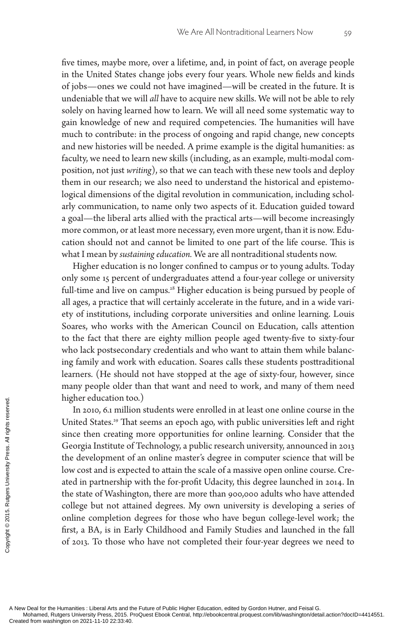five times, maybe more, over a lifetime, and, in point of fact, on average people in the United States change jobs every four years. Whole new fields and kinds of jobs—ones we could not have imagined—will be created in the future. It is undeniable that we will *all* have to acquire new skills. We will not be able to rely solely on having learned how to learn. We will all need some systematic way to gain knowledge of new and required competencies. The humanities will have much to contribute: in the process of ongoing and rapid change, new concepts and new histories will be needed. A prime example is the digital humanities: as faculty, we need to learn new skills (including, as an example, multi-modal composition, not just *writing*), so that we can teach with these new tools and deploy them in our research; we also need to understand the historical and epistemological dimensions of the digital revolution in communication, including scholarly communication, to name only two aspects of it. Education guided toward a goal—the liberal arts allied with the practical arts—will become increasingly more common, or at least more necessary, even more urgent, than it is now. Education should not and cannot be limited to one part of the life course. This is what I mean by *sustaining education.* We are all nontraditional students now.

Higher education is no longer confined to campus or to young adults. Today only some 15 percent of undergraduates attend a four-year college or university full-time and live on campus.<sup>28</sup> Higher education is being pursued by people of all ages, a practice that will certainly accelerate in the future, and in a wide variety of institutions, including corporate universities and online learning. Louis Soares, who works with the American Council on Education, calls attention to the fact that there are eighty million people aged twenty-five to sixty-four who lack postsecondary credentials and who want to attain them while balancing family and work with education. Soares calls these students posttraditional learners. (He should not have stopped at the age of sixty-four, however, since many people older than that want and need to work, and many of them need higher education too.)

In 2010, 6.1 million students were enrolled in at least one online course in the United States.<sup>29</sup> That seems an epoch ago, with public universities left and right since then creating more opportunities for online learning. Consider that the Georgia Institute of Technology, a public research university, announced in 2013 the development of an online master's degree in computer science that will be low cost and is expected to attain the scale of a massive open online course. Created in partnership with the for-profit Udacity, this degree launched in 2014. In the state of Washington, there are more than 900,000 adults who have attended college but not attained degrees. My own university is developing a series of online completion degrees for those who have begun college-level work; the first, a BA, is in Early Childhood and Family Studies and launched in the fall of 2013. To those who have not completed their four-year degrees we need to Experimentation to Implier education to Implier education to Implies the States.<sup>29</sup> The since then creating Georgia Institute of the development of the development of low cost and is experient of the state of Washing coll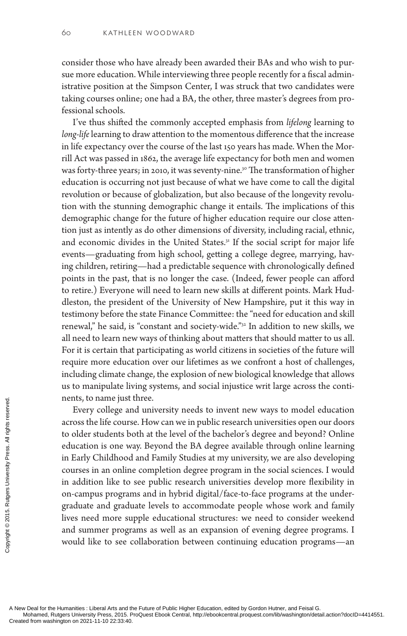consider those who have already been awarded their BAs and who wish to pursue more education. While interviewing three people recently for a fiscal administrative position at the Simpson Center, I was struck that two candidates were taking courses online; one had a BA, the other, three master's degrees from professional schools.

I've thus shifted the commonly accepted emphasis from *lifelong* learning to *long-life* learning to draw attention to the momentous difference that the increase in life expectancy over the course of the last 150 years has made. When the Morrill Act was passed in 1862, the average life expectancy for both men and women was forty-three years; in 2010, it was seventy-nine.<sup>30</sup> The transformation of higher education is occurring not just because of what we have come to call the digital revolution or because of globalization, but also because of the longevity revolution with the stunning demographic change it entails. The implications of this demographic change for the future of higher education require our close attention just as intently as do other dimensions of diversity, including racial, ethnic, and economic divides in the United States.<sup>31</sup> If the social script for major life events—graduating from high school, getting a college degree, marrying, having children, retiring—had a predictable sequence with chronologically defined points in the past, that is no longer the case. (Indeed, fewer people can afford to retire.) Everyone will need to learn new skills at different points. Mark Huddleston, the president of the University of New Hampshire, put it this way in testimony before the state Finance Committee: the "need for education and skill renewal," he said, is "constant and society-wide."32 In addition to new skills, we all need to learn new ways of thinking about matters that should matter to us all. For it is certain that participating as world citizens in societies of the future will require more education over our lifetimes as we confront a host of challenges, including climate change, the explosion of new biological knowledge that allows us to manipulate living systems, and social injustice writ large across the continents, to name just three.

Every college and university needs to invent new ways to model education across the life course. How can we in public research universities open our doors to older students both at the level of the bachelor's degree and beyond? Online education is one way. Beyond the BA degree available through online learning in Early Childhood and Family Studies at my university, we are also developing courses in an online completion degree program in the social sciences. I would in addition like to see public research universities develop more flexibility in on-campus programs and in hybrid digital/face-to-face programs at the undergraduate and graduate levels to accommodate people whose work and family lives need more supple educational structures: we need to consider weekend and summer programs as well as an expansion of evening degree programs. I would like to see collaboration between continuing education programs—an The past the past of the Humanities : Liberal Arts and the Mohamed, Rutgers University Press, 2015. P<br>Created from washington on 2021-11-10 22:33:40.<br>Created from washington on 2021-11-10 22:33:40.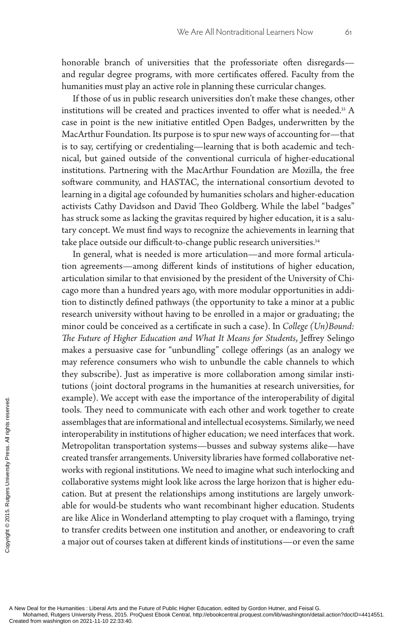honorable branch of universities that the professoriate often disregards and regular degree programs, with more certificates offered. Faculty from the humanities must play an active role in planning these curricular changes.

If those of us in public research universities don't make these changes, other institutions will be created and practices invented to offer what is needed.<sup>33</sup> A case in point is the new initiative entitled Open Badges, underwritten by the MacArthur Foundation. Its purpose is to spur new ways of accounting for—that is to say, certifying or credentialing—learning that is both academic and technical, but gained outside of the conventional curricula of higher-educational institutions. Partnering with the MacArthur Foundation are Mozilla, the free software community, and HASTAC, the international consortium devoted to learning in a digital age cofounded by humanities scholars and higher-education activists Cathy Davidson and David Theo Goldberg. While the label "badges" has struck some as lacking the gravitas required by higher education, it is a salutary concept. We must find ways to recognize the achievements in learning that take place outside our difficult-to-change public research universities.<sup>34</sup>

In general, what is needed is more articulation—and more formal articulation agreements—among different kinds of institutions of higher education, articulation similar to that envisioned by the president of the University of Chicago more than a hundred years ago, with more modular opportunities in addition to distinctly defined pathways (the opportunity to take a minor at a public research university without having to be enrolled in a major or graduating; the minor could be conceived as a certificate in such a case). In *College (Un)Bound: The Future of Higher Education and What It Means for Students*, Jeffrey Selingo makes a persuasive case for "unbundling" college offerings (as an analogy we may reference consumers who wish to unbundle the cable channels to which they subscribe). Just as imperative is more collaboration among similar institutions (joint doctoral programs in the humanities at research universities, for example). We accept with ease the importance of the interoperability of digital tools. They need to communicate with each other and work together to create assemblages that are informational and intellectual ecosystems. Similarly, we need interoperability in institutions of higher education; we need interfaces that work. Metropolitan transportation systems—busses and subway systems alike—have created transfer arrangements. University libraries have formed collaborative networks with regional institutions. We need to imagine what such interlocking and collaborative systems might look like across the large horizon that is higher education. But at present the relationships among institutions are largely unworkable for would-be students who want recombinant higher education. Students are like Alice in Wonderland attempting to play croquet with a flamingo, trying to transfer credits between one institution and another, or endeavoring to craft a major out of courses taken at different kinds of institutions—or even the same Example). We acceed<br>
tools. They need to<br>
assemblages that are<br>
interoperability in in<br>
Metropolitan transs<br>
created transfer arra<br>
collaborative system<br>
cation. But at prese<br>
able for would-be s<br>
are like Alice in We<br>
to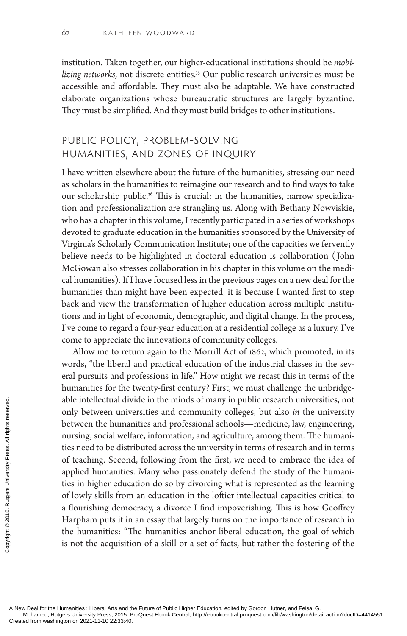institution. Taken together, our higher-educational institutions should be *mobi*lizing networks, not discrete entities.<sup>35</sup> Our public research universities must be accessible and affordable. They must also be adaptable. We have constructed elaborate organizations whose bureaucratic structures are largely byzantine. They must be simplified. And they must build bridges to other institutions.

## Public Policy, Problem-Solving Humanities, and Zones of Inquiry

I have written elsewhere about the future of the humanities, stressing our need as scholars in the humanities to reimagine our research and to find ways to take our scholarship public.<sup>36</sup> This is crucial: in the humanities, narrow specialization and professionalization are strangling us. Along with Bethany Nowviskie, who has a chapter in this volume, I recently participated in a series of workshops devoted to graduate education in the humanities sponsored by the University of Virginia's Scholarly Communication Institute; one of the capacities we fervently believe needs to be highlighted in doctoral education is collaboration ( John McGowan also stresses collaboration in his chapter in this volume on the medical humanities). If I have focused less in the previous pages on a new deal for the humanities than might have been expected, it is because I wanted first to step back and view the transformation of higher education across multiple institutions and in light of economic, demographic, and digital change. In the process, I've come to regard a four-year education at a residential college as a luxury. I've come to appreciate the innovations of community colleges.

Allow me to return again to the Morrill Act of 1862, which promoted, in its words, "the liberal and practical education of the industrial classes in the several pursuits and professions in life." How might we recast this in terms of the humanities for the twenty-first century? First, we must challenge the unbridgeable intellectual divide in the minds of many in public research universities, not only between universities and community colleges, but also *in* the university between the humanities and professional schools—medicine, law, engineering, nursing, social welfare, information, and agriculture, among them. The humanities need to be distributed across the university in terms of research and in terms of teaching. Second, following from the first, we need to embrace the idea of applied humanities. Many who passionately defend the study of the humanities in higher education do so by divorcing what is represented as the learning of lowly skills from an education in the loftier intellectual capacities critical to a flourishing democracy, a divorce I find impoverishing. This is how Geoffrey Harpham puts it in an essay that largely turns on the importance of research in the humanities: "The humanities anchor liberal education, the goal of which is not the acquisition of a skill or a set of facts, but rather the fostering of the The intellectual div<br>
only between university<br>
only between the human<br>
nursing, social welf<br>
ties need to be distr<br>
of teaching. Second<br>
applied humanities<br>
ties in higher educe<br>
of lowly skills from<br>
a flourishing demo<br>
H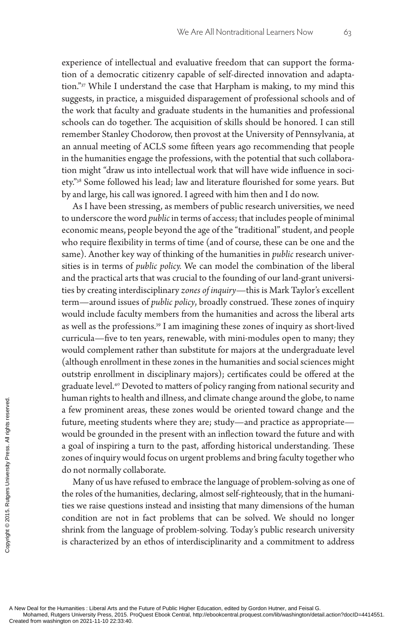experience of intellectual and evaluative freedom that can support the formation of a democratic citizenry capable of self-directed innovation and adaptation."37 While I understand the case that Harpham is making, to my mind this suggests, in practice, a misguided disparagement of professional schools and of the work that faculty and graduate students in the humanities and professional schools can do together. The acquisition of skills should be honored. I can still remember Stanley Chodorow, then provost at the University of Pennsylvania, at an annual meeting of ACLS some fifteen years ago recommending that people in the humanities engage the professions, with the potential that such collaboration might "draw us into intellectual work that will have wide influence in society."38 Some followed his lead; law and literature flourished for some years. But by and large, his call was ignored. I agreed with him then and I do now.

As I have been stressing, as members of public research universities, we need to underscore the word *public* in terms of access; that includes people of minimal economic means, people beyond the age of the "traditional" student, and people who require flexibility in terms of time (and of course, these can be one and the same). Another key way of thinking of the humanities in *public* research universities is in terms of *public policy.* We can model the combination of the liberal and the practical arts that was crucial to the founding of our land-grant universities by creating interdisciplinary *zones of inquiry*—this is Mark Taylor's excellent term—around issues of *public policy*, broadly construed. These zones of inquiry would include faculty members from the humanities and across the liberal arts as well as the professions.<sup>39</sup> I am imagining these zones of inquiry as short-lived curricula—five to ten years, renewable, with mini-modules open to many; they would complement rather than substitute for majors at the undergraduate level (although enrollment in these zones in the humanities and social sciences might outstrip enrollment in disciplinary majors); certificates could be offered at the graduate level.40 Devoted to matters of policy ranging from national security and human rights to health and illness, and climate change around the globe, to name a few prominent areas, these zones would be oriented toward change and the future, meeting students where they are; study—and practice as appropriate would be grounded in the present with an inflection toward the future and with a goal of inspiring a turn to the past, affording historical understanding. These zones of inquiry would focus on urgent problems and bring faculty together who do not normally collaborate. The state of the Humanities : Liberal Arts and the Mohamed, Rutgers University Press, 2015. P<br>Created from washington on 2021-11-10 22:33:40.<br>Created from washington on 2021-11-10 22:33:40.<br>Created from washington on 2021-

Many of us have refused to embrace the language of problem-solving as one of the roles of the humanities, declaring, almost self-righteously, that in the humanities we raise questions instead and insisting that many dimensions of the human condition are not in fact problems that can be solved. We should no longer shrink from the language of problem-solving. Today's public research university is characterized by an ethos of interdisciplinarity and a commitment to address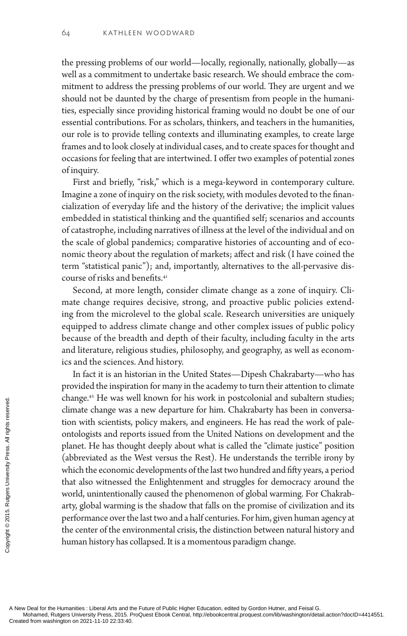the pressing problems of our world—locally, regionally, nationally, globally—as well as a commitment to undertake basic research. We should embrace the commitment to address the pressing problems of our world. They are urgent and we should not be daunted by the charge of presentism from people in the humanities, especially since providing historical framing would no doubt be one of our essential contributions. For as scholars, thinkers, and teachers in the humanities, our role is to provide telling contexts and illuminating examples, to create large frames and to look closely at individual cases, and to create spaces for thought and occasions for feeling that are intertwined. I offer two examples of potential zones of inquiry.

First and briefly, "risk," which is a mega-keyword in contemporary culture. Imagine a zone of inquiry on the risk society, with modules devoted to the financialization of everyday life and the history of the derivative; the implicit values embedded in statistical thinking and the quantified self; scenarios and accounts of catastrophe, including narratives of illness at the level of the individual and on the scale of global pandemics; comparative histories of accounting and of economic theory about the regulation of markets; affect and risk (I have coined the term "statistical panic"); and, importantly, alternatives to the all-pervasive discourse of risks and benefits.<sup>41</sup>

Second, at more length, consider climate change as a zone of inquiry. Climate change requires decisive, strong, and proactive public policies extending from the microlevel to the global scale. Research universities are uniquely equipped to address climate change and other complex issues of public policy because of the breadth and depth of their faculty, including faculty in the arts and literature, religious studies, philosophy, and geography, as well as economics and the sciences. And history.

In fact it is an historian in the United States—Dipesh Chakrabarty—who has provided the inspiration for many in the academy to turn their attention to climate change.42 He was well known for his work in postcolonial and subaltern studies; climate change was a new departure for him. Chakrabarty has been in conversation with scientists, policy makers, and engineers. He has read the work of paleontologists and reports issued from the United Nations on development and the planet. He has thought deeply about what is called the "climate justice" position (abbreviated as the West versus the Rest). He understands the terrible irony by which the economic developments of the last two hundred and fifty years, a period that also witnessed the Enlightenment and struggles for democracy around the world, unintentionally caused the phenomenon of global warming. For Chakrabarty, global warming is the shadow that falls on the promise of civilization and its performance over the last two and a half centuries. For him, given human agency at the center of the environmental crisis, the distinction between natural history and human history has collapsed. It is a momentous paradigm change. Criange. The was wordinate change was<br>
dimate change was<br>
tion with scientists,<br>
ontologists and repo<br>
planet. He has thou<br>
(abbreviated as the<br>
which the economic<br>
that also witnessed<br>
world, unintentiona<br>
arty, global wa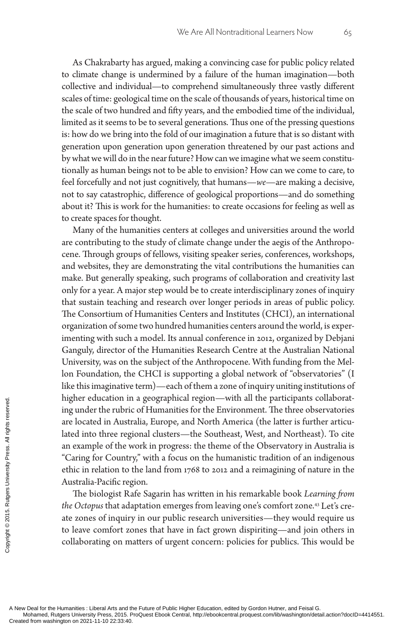As Chakrabarty has argued, making a convincing case for public policy related to climate change is undermined by a failure of the human imagination—both collective and individual—to comprehend simultaneously three vastly different scales of time: geological time on the scale of thousands of years, historical time on the scale of two hundred and fifty years, and the embodied time of the individual, limited as it seems to be to several generations. Thus one of the pressing questions is: how do we bring into the fold of our imagination a future that is so distant with generation upon generation upon generation threatened by our past actions and by what we will do in the near future? How can we imagine what we seem constitutionally as human beings not to be able to envision? How can we come to care, to feel forcefully and not just cognitively, that humans—*we*—are making a decisive, not to say catastrophic, difference of geological proportions—and do something about it? This is work for the humanities: to create occasions for feeling as well as to create spaces for thought.

Many of the humanities centers at colleges and universities around the world are contributing to the study of climate change under the aegis of the Anthropocene. Through groups of fellows, visiting speaker series, conferences, workshops, and websites, they are demonstrating the vital contributions the humanities can make. But generally speaking, such programs of collaboration and creativity last only for a year. A major step would be to create interdisciplinary zones of inquiry that sustain teaching and research over longer periods in areas of public policy. The Consortium of Humanities Centers and Institutes (CHCI), an international organization of some two hundred humanities centers around the world, is experimenting with such a model. Its annual conference in 2012, organized by Debjani Ganguly, director of the Humanities Research Centre at the Australian National University, was on the subject of the Anthropocene. With funding from the Mellon Foundation, the CHCI is supporting a global network of "observatories" (I like this imaginative term)—each of them a zone of inquiry uniting institutions of higher education in a geographical region—with all the participants collaborating under the rubric of Humanities for the Environment. The three observatories are located in Australia, Europe, and North America (the latter is further articulated into three regional clusters—the Southeast, West, and Northeast). To cite an example of the work in progress: the theme of the Observatory in Australia is "Caring for Country," with a focus on the humanistic tradition of an indigenous ethic in relation to the land from 1768 to 2012 and a reimagining of nature in the Australia-Pacific region. Experiment to the Humanities : Liberal Arts and the Mohamed, Rutgers University Press, 2015. P<br>Created from washington on 2021-11-10 22:33:40.<br>Created from washington on 2021-11-10 22:33:40.<br>Created from washington on 2021

The biologist Rafe Sagarin has written in his remarkable book *Learning from the Octopus* that adaptation emerges from leaving one's comfort zone.43 Let's create zones of inquiry in our public research universities—they would require us to leave comfort zones that have in fact grown dispiriting—and join others in collaborating on matters of urgent concern: policies for publics. This would be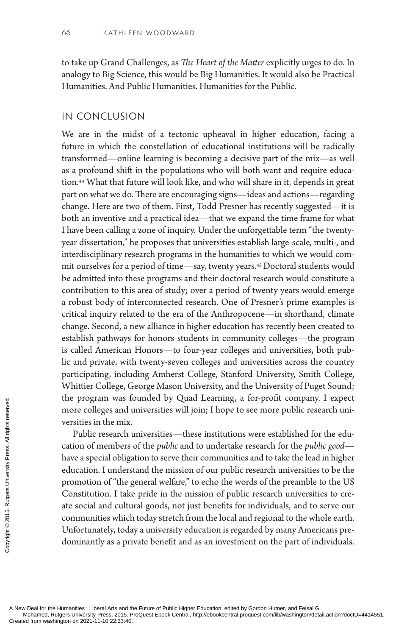to take up Grand Challenges, as *The Heart of the Matter* explicitly urges to do. In analogy to Big Science, this would be Big Humanities. It would also be Practical Humanities. And Public Humanities. Humanities for the Public.

#### In Conclusion

We are in the midst of a tectonic upheaval in higher education, facing a future in which the constellation of educational institutions will be radically transformed—online learning is becoming a decisive part of the mix—as well as a profound shift in the populations who will both want and require education.<sup>44</sup> What that future will look like, and who will share in it, depends in great part on what we do. There are encouraging signs—ideas and actions—regarding change. Here are two of them. First, Todd Presner has recently suggested—it is both an inventive and a practical idea—that we expand the time frame for what I have been calling a zone of inquiry. Under the unforgettable term "the twentyyear dissertation," he proposes that universities establish large-scale, multi-, and interdisciplinary research programs in the humanities to which we would commit ourselves for a period of time—say, twenty years.45 Doctoral students would be admitted into these programs and their doctoral research would constitute a contribution to this area of study; over a period of twenty years would emerge a robust body of interconnected research. One of Presner's prime examples is critical inquiry related to the era of the Anthropocene—in shorthand, climate change. Second, a new alliance in higher education has recently been created to establish pathways for honors students in community colleges—the program is called American Honors—to four-year colleges and universities, both public and private, with twenty-seven colleges and universities across the country participating, including Amherst College, Stanford University, Smith College, Whittier College, George Mason University, and the University of Puget Sound; the program was founded by Quad Learning, a for-profit company. I expect more colleges and universities will join; I hope to see more public research universities in the mix.

Public research universities—these institutions were established for the education of members of the *public* and to undertake research for the *public good* have a special obligation to serve their communities and to take the lead in higher education. I understand the mission of our public research universities to be the promotion of "the general welfare," to echo the words of the preamble to the US Constitution. I take pride in the mission of public research universities to create social and cultural goods, not just benefits for individuals, and to serve our communities which today stretch from the local and regional to the whole earth. Unfortunately, today a university education is regarded by many Americans predominantly as a private benefit and as an investment on the part of individuals. The program was higher and the program was higher and the versities in the mix.<br>
Public research to cation of members<br>
have a special obligated<br>
ducation. I unders promotion of "the g<br>
Constitution. I take<br>
ate social and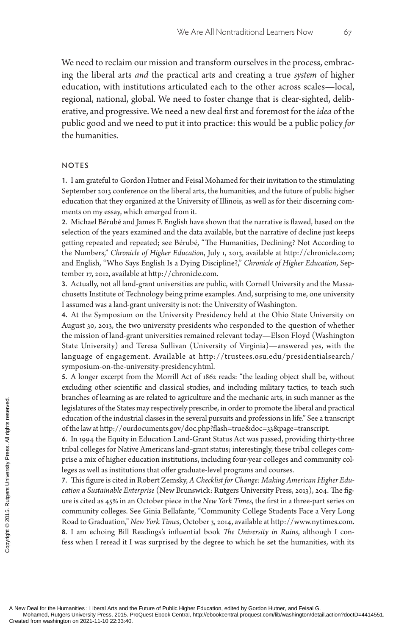We need to reclaim our mission and transform ourselves in the process, embracing the liberal arts *and* the practical arts and creating a true *system* of higher education, with institutions articulated each to the other across scales—local, regional, national, global. We need to foster change that is clear-sighted, deliberative, and progressive. We need a new deal first and foremost for the *idea* of the public good and we need to put it into practice: this would be a public policy *for* the humanities.

#### **NOTES**

**1.** I am grateful to Gordon Hutner and Feisal Mohamed for their invitation to the stimulating September 2013 conference on the liberal arts, the humanities, and the future of public higher education that they organized at the University of Illinois, as well as for their discerning comments on my essay, which emerged from it.

**2.** Michael Bérubé and James F. English have shown that the narrative is flawed, based on the selection of the years examined and the data available, but the narrative of decline just keeps getting repeated and repeated; see Bérubé, "The Humanities, Declining? Not According to the Numbers," *Chronicle of Higher Education*, July 1, 2013, available at http://chronicle.com; and English, "Who Says English Is a Dying Discipline?," *Chronicle of Higher Education*, September 17, 2012, available at http://chronicle.com.

**3.** Actually, not all land-grant universities are public, with Cornell University and the Massachusetts Institute of Technology being prime examples. And, surprising to me, one university I assumed was a land-grant university is not: the University of Washington.

**4.** At the Symposium on the University Presidency held at the Ohio State University on August 30, 2013, the two university presidents who responded to the question of whether the mission of land-grant universities remained relevant today—Elson Floyd (Washington State University) and Teresa Sullivan (University of Virginia)—answered yes, with the language of engagement. Available at http://trustees.osu.edu/presidentialsearch/ symposium-on-the-university-presidency.html.

**5.** A longer excerpt from the Morrill Act of 1862 reads: "the leading object shall be, without excluding other scientific and classical studies, and including military tactics, to teach such branches of learning as are related to agriculture and the mechanic arts, in such manner as the legislatures of the States may respectively prescribe, in order to promote the liberal and practical education of the industrial classes in the several pursuits and professions in life." See a transcript of the law at http://ourdocuments.gov/doc.php?flash=true&doc=33&page=transcript.

**6.** In 1994 the Equity in Education Land-Grant Status Act was passed, providing thirty-three tribal colleges for Native Americans land-grant status; interestingly, these tribal colleges comprise a mix of higher education institutions, including four-year colleges and community colleges as well as institutions that offer graduate-level programs and courses.

**7.** This figure is cited in Robert Zemsky, *A Checklist for Change: Making American Higher Education a Sustainable Enterprise* (New Brunswick: Rutgers University Press, 2013), 204. The figure is cited as 45% in an October piece in the *New York Times*, the first in a three-part series on community colleges. See Ginia Bellafante, "Community College Students Face a Very Long Road to Graduation," *New York Times*, October 3, 2014, available at http://www.nytimes.com. **8.** I am echoing Bill Readings's influential book *The University in Ruins*, although I confess when I reread it I was surprised by the degree to which he set the humanities, with its Created from washington on 2021-11-10 22:33:40.<br>
Created from washington on 2021-11-10 22:33:40.<br>
Created from washington on 2021-11-10 22:33:40.<br>
Created from washington on 2021-11-10 22:33:40.<br>
Created from washington o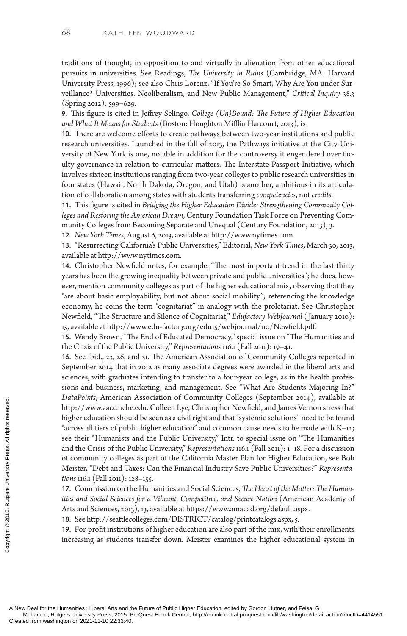traditions of thought, in opposition to and virtually in alienation from other educational pursuits in universities. See Readings, *The University in Ruins* (Cambridge, MA: Harvard University Press, 1996); see also Chris Lorenz, "If You're So Smart, Why Are You under Surveillance? Universities, Neoliberalism, and New Public Management," *Critical Inquiry* 38.3 (Spring 2012): 599–629.

**9.** This figure is cited in Jeffrey Selingo, *College (Un)Bound: The Future of Higher Education and What It Means for Students* (Boston: Houghton Mifflin Harcourt, 2013), ix.

**10.** There are welcome efforts to create pathways between two-year institutions and public research universities. Launched in the fall of 2013, the Pathways initiative at the City University of New York is one, notable in addition for the controversy it engendered over faculty governance in relation to curricular matters. The Interstate Passport Initiative, which involves sixteen institutions ranging from two-year colleges to public research universities in four states (Hawaii, North Dakota, Oregon, and Utah) is another, ambitious in its articulation of collaboration among states with students transferring *competencies*, not *credits.*

**11.** This figure is cited in *Bridging the Higher Education Divide: Strengthening Community Colleges and Restoring the American Dream*, Century Foundation Task Force on Preventing Community Colleges from Becoming Separate and Unequal (Century Foundation, 2013), 3.

**12.** *New York Times*, August 6, 2013, available at http://www.nytimes.com.

**13.** "Resurrecting California's Public Universities," Editorial, *New York Times*, March 30, 2013, available at http://www.nytimes.com.

**14.** Christopher Newfield notes, for example, "The most important trend in the last thirty years has been the growing inequality between private and public universities"; he does, however, mention community colleges as part of the higher educational mix, observing that they "are about basic employability, but not about social mobility"; referencing the knowledge economy, he coins the term "cognitariat" in analogy with the proletariat. See Christopher Newfield, "The Structure and Silence of Cognitariat," *Edufactory WebJournal* ( January 2010): 15, available at http://www.edu-factory.org/edu15/webjournal/n0/Newfield.pdf.

**15.** Wendy Brown, "The End of Educated Democracy," special issue on "The Humanities and the Crisis of the Public University," *Representations* 116.1 (Fall 2011): 19–41.

**16.** See ibid., 23, 26, and 31. The American Association of Community Colleges reported in September 2014 that in 2012 as many associate degrees were awarded in the liberal arts and sciences, with graduates intending to transfer to a four-year college, as in the health professions and business, marketing, and management. See "What Are Students Majoring In?" *DataPoints*, American Association of Community Colleges (September 2014), available at http://www.aacc.nche.edu. Colleen Lye, Christopher Newfield, and James Vernon stress that higher education should be seen as a civil right and that "systemic solutions" need to be found "across all tiers of public higher education" and common cause needs to be made with K–12; see their "Humanists and the Public University," Intr. to special issue on "The Humanities and the Crisis of the Public University," *Representations* 116.1 (Fall 2011): 1–18. For a discussion of community colleges as part of the California Master Plan for Higher Education, see Bob Meister, "Debt and Taxes: Can the Financial Industry Save Public Universities?" *Representations* 116.1 (Fall 2011): 128–155. Contained from washington on 2021-11-10 22:33:40.<br>
Created from washington on 2021-11-10 22:33:40.<br>
Created from washington on 2021-11-10 22:33:40.<br>
Created from washington on 2021-11-10 22:33:40.<br>
Created from washington

**17.** Commission on the Humanities and Social Sciences, *The Heart of the Matter: The Humanities and Social Sciences for a Vibrant, Competitive, and Secure Nation* (American Academy of Arts and Sciences, 2013), 13, available at https://www.amacad.org/default.aspx.

**18.** See http://seattlecolleges.com/DISTRICT/catalog/printcatalogs.aspx, 5.

**19.** For-profit institutions of higher education are also part of the mix, with their enrollments increasing as students transfer down. Meister examines the higher educational system in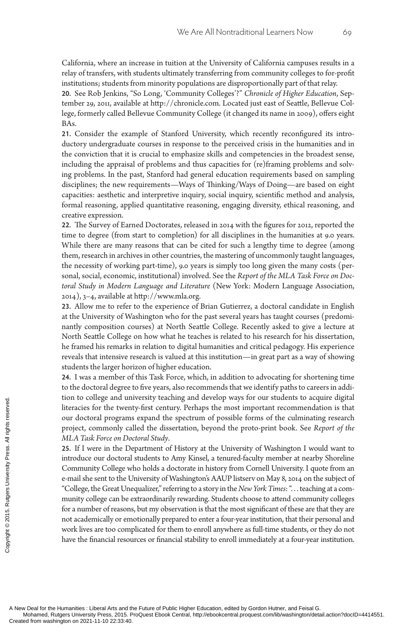California, where an increase in tuition at the University of California campuses results in a relay of transfers, with students ultimately transferring from community colleges to for-profit institutions; students from minority populations are disproportionally part of that relay.

**20.** See Rob Jenkins, "So Long, 'Community Colleges'?" *Chronicle of Higher Education*, September 29, 2011, available at http://chronicle.com. Located just east of Seattle, Bellevue College, formerly called Bellevue Community College (it changed its name in 2009), offers eight BAs.

**21.** Consider the example of Stanford University, which recently reconfigured its introductory undergraduate courses in response to the perceived crisis in the humanities and in the conviction that it is crucial to emphasize skills and competencies in the broadest sense, including the appraisal of problems and thus capacities for (re)framing problems and solving problems. In the past, Stanford had general education requirements based on sampling disciplines; the new requirements—Ways of Thinking/Ways of Doing—are based on eight capacities: aesthetic and interpretive inquiry, social inquiry, scientific method and analysis, formal reasoning, applied quantitative reasoning, engaging diversity, ethical reasoning, and creative expression.

**22.** The Survey of Earned Doctorates, released in 2014 with the figures for 2012, reported the time to degree (from start to completion) for all disciplines in the humanities at 9.0 years. While there are many reasons that can be cited for such a lengthy time to degree (among them, research in archives in other countries, the mastering of uncommonly taught languages, the necessity of working part-time), 9.0 years is simply too long given the many costs (personal, social, economic, institutional) involved. See the *Report of the MLA Task Force on Doctoral Study in Modern Language and Literature* (New York: Modern Language Association, 2014), 3–4, available at http://www.mla.org.

**23.** Allow me to refer to the experience of Brian Gutierrez, a doctoral candidate in English at the University of Washington who for the past several years has taught courses (predominantly composition courses) at North Seattle College. Recently asked to give a lecture at North Seattle College on how what he teaches is related to his research for his dissertation, he framed his remarks in relation to digital humanities and critical pedagogy. His experience reveals that intensive research is valued at this institution—in great part as a way of showing students the larger horizon of higher education.

**24.** I was a member of this Task Force, which, in addition to advocating for shortening time to the doctoral degree to five years, also recommends that we identify paths to careers in addition to college and university teaching and develop ways for our students to acquire digital literacies for the twenty-first century. Perhaps the most important recommendation is that our doctoral programs expand the spectrum of possible forms of the culminating research project, commonly called the dissertation, beyond the proto-print book. See *Report of the MLA Task Force on Doctoral Study*.

**25.** If I were in the Department of History at the University of Washington I would want to introduce our doctoral students to Amy Kinsel, a tenured-faculty member at nearby Shoreline Community College who holds a doctorate in history from Cornell University. I quote from an e-mail she sent to the University of Washington's AAUP listserv on May 8, 2014 on the subject of "College, the Great Unequalizer," referring to a story in the *New York Times*: ". . . teaching at a community college can be extraordinarily rewarding. Students choose to attend community colleges for a number of reasons, but my observation is that the most significant of these are that they are not academically or emotionally prepared to enter a four-year institution, that their personal and work lives are too complicated for them to enroll anywhere as full-time students, or they do not have the financial resources or financial stability to enroll immediately at a four-year institution. Exerces for the twenty on 2021-11-10 22:33:40.<br>
Exerces for the twenty our doctoral programs<br>
project, commonly ca<br>
25. If I were in the De<br>
introduce our doctoral<br>
Community College we<br>
e-mail she sent to the U<br>
"College,

A New Deal for the Humanities : Liberal Arts and the Future of Public Higher Education, edited by Gordon Hutner, and Feisal G.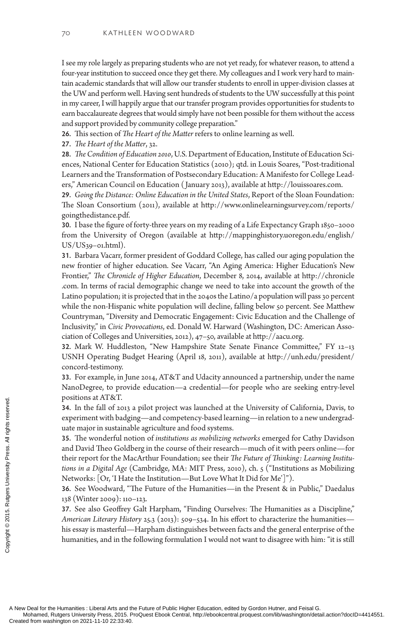I see my role largely as preparing students who are not yet ready, for whatever reason, to attend a four-year institution to succeed once they get there. My colleagues and I work very hard to maintain academic standards that will allow our transfer students to enroll in upper-division classes at the UW and perform well. Having sent hundreds of students to the UW successfully at this point in my career, I will happily argue that our transfer program provides opportunities for students to earn baccalaureate degrees that would simply have not been possible for them without the access and support provided by community college preparation."

**26.** This section of *The Heart of the Matter* refers to online learning as well.

**27.** *The Heart of the Matter*, 32.

**28.** *The Condition of Education 2010*, U.S. Department of Education, Institute of Education Sciences, National Center for Education Statistics (2010); qtd. in Louis Soares, "Post-traditional Learners and the Transformation of Postsecondary Education: A Manifesto for College Leaders," American Council on Education ( January 2013), available at http://louissoares.com.

**29.** *Going the Distance: Online Education in the United States*, Report of the Sloan Foundation: The Sloan Consortium (2011), available at http://www.onlinelearningsurvey.com/reports/ goingthedistance.pdf.

**30.** I base the figure of forty-three years on my reading of a Life Expectancy Graph 1850–2000 from the University of Oregon (available at http://mappinghistory.uoregon.edu/english/  $US/US_39$ –01.html).

**31.** Barbara Vacarr, former president of Goddard College, has called our aging population the new frontier of higher education. See Vacarr, "An Aging America: Higher Education's New Frontier," *The Chronicle of Higher Education*, December 8, 2014, available at http://chronicle .com. In terms of racial demographic change we need to take into account the growth of the Latino population; it is projected that in the 2040s the Latino/a population will pass 30 percent while the non-Hispanic white population will decline, falling below 50 percent. See Matthew Countryman, "Diversity and Democratic Engagement: Civic Education and the Challenge of Inclusivity," in *Civic Provocations*, ed. Donald W. Harward (Washington, DC: American Association of Colleges and Universities, 2012), 47–50, available at http://aacu.org.

**32.** Mark W. Huddleston, "New Hampshire State Senate Finance Committee," FY 12–13 USNH Operating Budget Hearing (April 18, 2011), available at http://unh.edu/president/ concord-testimony.

**33.** For example, in June 2014, AT&T and Udacity announced a partnership, under the name NanoDegree, to provide education—a credential—for people who are seeking entry-level positions at AT&T.

**34.** In the fall of 2013 a pilot project was launched at the University of California, Davis, to experiment with badging—and competency-based learning—in relation to a new undergraduate major in sustainable agriculture and food systems.

**35.** The wonderful notion of *institutions as mobilizing networks* emerged for Cathy Davidson and David Theo Goldberg in the course of their research—much of it with peers online—for their report for the MacArthur Foundation; see their *The Future of Thinking: Learning Institutions in a Digital Age* (Cambridge, MA: MIT Press, 2010), ch. 5 ("Institutions as Mobilizing Networks: [Or, 'I Hate the Institution—But Love What It Did for Me']"). Positions at A1 & 1.<br>
34. In the fall of 2013<br>
experiment with badgi<br>
uate major in sustainal<br>
35. The wonderful not<br>
and David Theo Goldt<br>
their report for the Ma<br>
tions in a Digital Age (<br>
Networks: [Or, 'I Hate<br>
36. See

**36.** See Woodward, "The Future of the Humanities—in the Present & in Public," Daedalus 138 (Winter 2009): 110–123.

**37.** See also Geoffrey Galt Harpham, "Finding Ourselves: The Humanities as a Discipline," *American Literary History* 25.3 (2013): 509–534. In his effort to characterize the humanities his essay is masterful—Harpham distinguishes between facts and the general enterprise of the humanities, and in the following formulation I would not want to disagree with him: "it is still

A New Deal for the Humanities : Liberal Arts and the Future of Public Higher Education, edited by Gordon Hutner, and Feisal G.